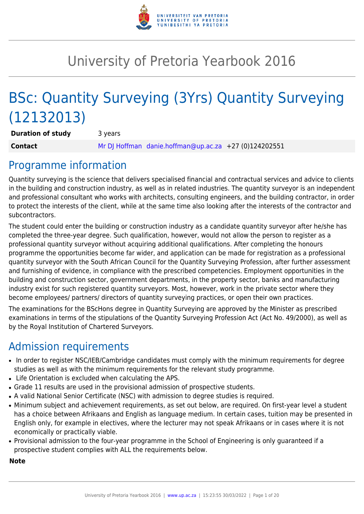

# University of Pretoria Yearbook 2016

# BSc: Quantity Surveying (3Yrs) Quantity Surveying (12132013)

**Duration of study** 3 years **Contact** [Mr DJ Hoffman](mailto:danie.hoffman@up.ac.za) [danie.hoffman@up.ac.za](mailto:danie.hoffman@up.ac.za) +27 (0)124202551

# Programme information

Quantity surveying is the science that delivers specialised financial and contractual services and advice to clients in the building and construction industry, as well as in related industries. The quantity surveyor is an independent and professional consultant who works with architects, consulting engineers, and the building contractor, in order to protect the interests of the client, while at the same time also looking after the interests of the contractor and subcontractors.

The student could enter the building or construction industry as a candidate quantity surveyor after he/she has completed the three-year degree. Such qualification, however, would not allow the person to register as a professional quantity surveyor without acquiring additional qualifications. After completing the honours programme the opportunities become far wider, and application can be made for registration as a professional quantity surveyor with the South African Council for the Quantity Surveying Profession, after further assessment and furnishing of evidence, in compliance with the prescribed competencies. Employment opportunities in the building and construction sector, government departments, in the property sector, banks and manufacturing industry exist for such registered quantity surveyors. Most, however, work in the private sector where they become employees/ partners/ directors of quantity surveying practices, or open their own practices.

The examinations for the BScHons degree in Quantity Surveying are approved by the Minister as prescribed examinations in terms of the stipulations of the Quantity Surveying Profession Act (Act No. 49/2000), as well as by the Royal Institution of Chartered Surveyors.

# Admission requirements

- In order to register NSC/IEB/Cambridge candidates must comply with the minimum requirements for degree studies as well as with the minimum requirements for the relevant study programme.
- Life Orientation is excluded when calculating the APS.
- Grade 11 results are used in the provisional admission of prospective students.
- A valid National Senior Certificate (NSC) with admission to degree studies is required.
- Minimum subject and achievement requirements, as set out below, are required. On first-year level a student has a choice between Afrikaans and English as language medium. In certain cases, tuition may be presented in English only, for example in electives, where the lecturer may not speak Afrikaans or in cases where it is not economically or practically viable.
- Provisional admission to the four-year programme in the School of Engineering is only guaranteed if a prospective student complies with ALL the requirements below.

#### **Note**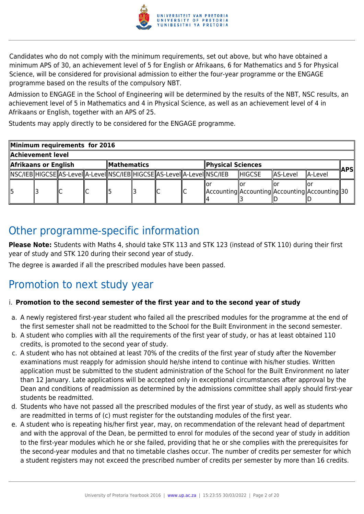

Candidates who do not comply with the minimum requirements, set out above, but who have obtained a minimum APS of 30, an achievement level of 5 for English or Afrikaans, 6 for Mathematics and 5 for Physical Science, will be considered for provisional admission to either the four-year programme or the ENGAGE programme based on the results of the compulsory NBT.

Admission to ENGAGE in the School of Engineering will be determined by the results of the NBT, NSC results, an achievement level of 5 in Mathematics and 4 in Physical Science, as well as an achievement level of 4 in Afrikaans or English, together with an APS of 25.

Students may apply directly to be considered for the ENGAGE programme.

| Minimum requirements for 2016 |                                                           |                                                                                 |  |  |  |     |                                                    |                |          |           |  |
|-------------------------------|-----------------------------------------------------------|---------------------------------------------------------------------------------|--|--|--|-----|----------------------------------------------------|----------------|----------|-----------|--|
| Achievement level             |                                                           |                                                                                 |  |  |  |     |                                                    |                |          |           |  |
|                               | Afrikaans or English<br>Physical Sciences<br>∥Mathematics |                                                                                 |  |  |  | APS |                                                    |                |          |           |  |
|                               |                                                           | NSC/IEB  HIGCSE  AS-Level  A-Level  NSC/IEB  HIGCSE  AS-Level  A-Level  NSC/IEB |  |  |  |     |                                                    | <b>IHIGCSE</b> | AS-Level | llA-Level |  |
|                               |                                                           |                                                                                 |  |  |  |     | Accounting  Accounting  Accounting  Accounting  30 |                |          |           |  |

# Other programme-specific information

**Please Note:** Students with Maths 4, should take STK 113 and STK 123 (instead of STK 110) during their first year of study and STK 120 during their second year of study.

The degree is awarded if all the prescribed modules have been passed.

# Promotion to next study year

# i. **Promotion to the second semester of the first year and to the second year of study**

- a. A newly registered first-year student who failed all the prescribed modules for the programme at the end of the first semester shall not be readmitted to the School for the Built Environment in the second semester.
- b. A student who complies with all the requirements of the first year of study, or has at least obtained 110 credits, is promoted to the second year of study.
- c. A student who has not obtained at least 70% of the credits of the first year of study after the November examinations must reapply for admission should he/she intend to continue with his/her studies. Written application must be submitted to the student administration of the School for the Built Environment no later than 12 January. Late applications will be accepted only in exceptional circumstances after approval by the Dean and conditions of readmission as determined by the admissions committee shall apply should first-year students be readmitted.
- d. Students who have not passed all the prescribed modules of the first year of study, as well as students who are readmitted in terms of (c) must register for the outstanding modules of the first year.
- e. A student who is repeating his/her first year, may, on recommendation of the relevant head of department and with the approval of the Dean, be permitted to enrol for modules of the second year of study in addition to the first-year modules which he or she failed, providing that he or she complies with the prerequisites for the second-year modules and that no timetable clashes occur. The number of credits per semester for which a student registers may not exceed the prescribed number of credits per semester by more than 16 credits.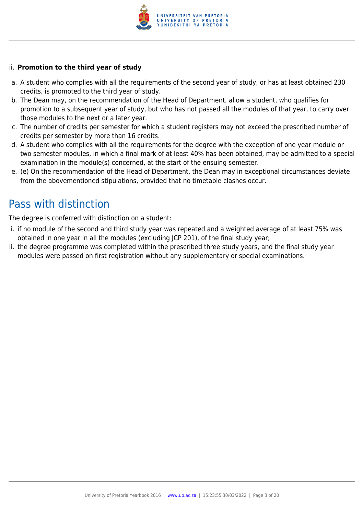

#### ii. **Promotion to the third year of study**

- a. A student who complies with all the requirements of the second year of study, or has at least obtained 230 credits, is promoted to the third year of study.
- b. The Dean may, on the recommendation of the Head of Department, allow a student, who qualifies for promotion to a subsequent year of study, but who has not passed all the modules of that year, to carry over those modules to the next or a later year.
- c. The number of credits per semester for which a student registers may not exceed the prescribed number of credits per semester by more than 16 credits.
- d. A student who complies with all the requirements for the degree with the exception of one year module or two semester modules, in which a final mark of at least 40% has been obtained, may be admitted to a special examination in the module(s) concerned, at the start of the ensuing semester.
- e. (e) On the recommendation of the Head of Department, the Dean may in exceptional circumstances deviate from the abovementioned stipulations, provided that no timetable clashes occur.

# Pass with distinction

The degree is conferred with distinction on a student:

- i. if no module of the second and third study year was repeated and a weighted average of at least 75% was obtained in one year in all the modules (excluding JCP 201), of the final study year;
- ii. the degree programme was completed within the prescribed three study years, and the final study year modules were passed on first registration without any supplementary or special examinations.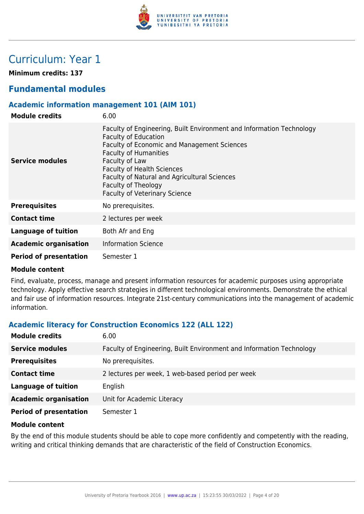

# Curriculum: Year 1

**Minimum credits: 137**

# **Fundamental modules**

### **Academic information management 101 (AIM 101)**

| <b>Module credits</b>         | 6.00                                                                                                                                                                                                                                                                                                                                                     |
|-------------------------------|----------------------------------------------------------------------------------------------------------------------------------------------------------------------------------------------------------------------------------------------------------------------------------------------------------------------------------------------------------|
| <b>Service modules</b>        | Faculty of Engineering, Built Environment and Information Technology<br><b>Faculty of Education</b><br>Faculty of Economic and Management Sciences<br><b>Faculty of Humanities</b><br>Faculty of Law<br><b>Faculty of Health Sciences</b><br>Faculty of Natural and Agricultural Sciences<br>Faculty of Theology<br><b>Faculty of Veterinary Science</b> |
| <b>Prerequisites</b>          | No prerequisites.                                                                                                                                                                                                                                                                                                                                        |
| <b>Contact time</b>           | 2 lectures per week                                                                                                                                                                                                                                                                                                                                      |
| <b>Language of tuition</b>    | Both Afr and Eng                                                                                                                                                                                                                                                                                                                                         |
| <b>Academic organisation</b>  | <b>Information Science</b>                                                                                                                                                                                                                                                                                                                               |
| <b>Period of presentation</b> | Semester 1                                                                                                                                                                                                                                                                                                                                               |

#### **Module content**

Find, evaluate, process, manage and present information resources for academic purposes using appropriate technology. Apply effective search strategies in different technological environments. Demonstrate the ethical and fair use of information resources. Integrate 21st-century communications into the management of academic information.

# **Academic literacy for Construction Economics 122 (ALL 122)**

| <b>Module credits</b>         | 6.00                                                                 |
|-------------------------------|----------------------------------------------------------------------|
| <b>Service modules</b>        | Faculty of Engineering, Built Environment and Information Technology |
| <b>Prerequisites</b>          | No prerequisites.                                                    |
| <b>Contact time</b>           | 2 lectures per week, 1 web-based period per week                     |
| <b>Language of tuition</b>    | English                                                              |
| <b>Academic organisation</b>  | Unit for Academic Literacy                                           |
| <b>Period of presentation</b> | Semester 1                                                           |

#### **Module content**

By the end of this module students should be able to cope more confidently and competently with the reading, writing and critical thinking demands that are characteristic of the field of Construction Economics.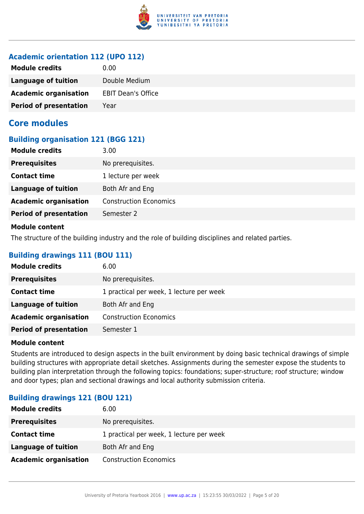

# **Academic orientation 112 (UPO 112)**

| <b>Module credits</b>         | 0.00                      |
|-------------------------------|---------------------------|
| Language of tuition           | Double Medium             |
| <b>Academic organisation</b>  | <b>EBIT Dean's Office</b> |
| <b>Period of presentation</b> | Year                      |

# **Core modules**

#### **Building organisation 121 (BGG 121)**

| <b>Module credits</b>                                                                                                                                                                                                                | 3.00                          |
|--------------------------------------------------------------------------------------------------------------------------------------------------------------------------------------------------------------------------------------|-------------------------------|
| <b>Prerequisites</b>                                                                                                                                                                                                                 | No prerequisites.             |
| <b>Contact time</b>                                                                                                                                                                                                                  | 1 lecture per week            |
| <b>Language of tuition</b>                                                                                                                                                                                                           | Both Afr and Eng              |
| <b>Academic organisation</b>                                                                                                                                                                                                         | <b>Construction Economics</b> |
| <b>Period of presentation</b>                                                                                                                                                                                                        | Semester 2                    |
| <b>Administration of the contract of the contract of the contract of the contract of the contract of the contract of the contract of the contract of the contract of the contract of the contract of the contract of the contrac</b> |                               |

#### **Module content**

The structure of the building industry and the role of building disciplines and related parties.

### **Building drawings 111 (BOU 111)**

| <b>Module credits</b>         | 6.00                                     |
|-------------------------------|------------------------------------------|
| <b>Prerequisites</b>          | No prerequisites.                        |
| <b>Contact time</b>           | 1 practical per week, 1 lecture per week |
| Language of tuition           | Both Afr and Eng                         |
| <b>Academic organisation</b>  | <b>Construction Economics</b>            |
| <b>Period of presentation</b> | Semester 1                               |

#### **Module content**

Students are introduced to design aspects in the built environment by doing basic technical drawings of simple building structures with appropriate detail sketches. Assignments during the semester expose the students to building plan interpretation through the following topics: foundations; super-structure; roof structure; window and door types; plan and sectional drawings and local authority submission criteria.

# **Building drawings 121 (BOU 121)**

| <b>Module credits</b>        | 6.00                                     |
|------------------------------|------------------------------------------|
| <b>Prerequisites</b>         | No prerequisites.                        |
| <b>Contact time</b>          | 1 practical per week, 1 lecture per week |
| <b>Language of tuition</b>   | Both Afr and Eng                         |
| <b>Academic organisation</b> | <b>Construction Economics</b>            |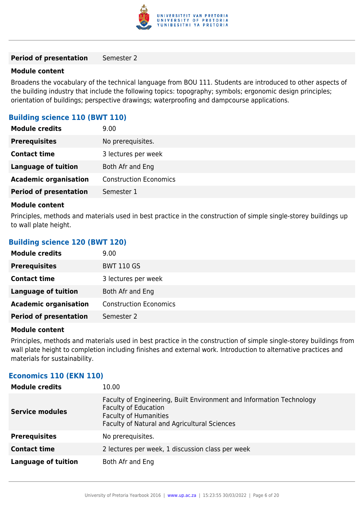

#### **Period of presentation** Semester 2

#### **Module content**

Broadens the vocabulary of the technical language from BOU 111. Students are introduced to other aspects of the building industry that include the following topics: topography; symbols; ergonomic design principles; orientation of buildings; perspective drawings; waterproofing and dampcourse applications.

#### **Building science 110 (BWT 110)**

| <b>Module credits</b>         | 9.00                          |
|-------------------------------|-------------------------------|
| <b>Prerequisites</b>          | No prerequisites.             |
| <b>Contact time</b>           | 3 lectures per week           |
| <b>Language of tuition</b>    | Both Afr and Eng              |
| <b>Academic organisation</b>  | <b>Construction Economics</b> |
| <b>Period of presentation</b> | Semester 1                    |
|                               |                               |

#### **Module content**

Principles, methods and materials used in best practice in the construction of simple single-storey buildings up to wall plate height.

#### **Building science 120 (BWT 120)**

| <b>Module credits</b>         | 9.00                          |
|-------------------------------|-------------------------------|
| <b>Prerequisites</b>          | <b>BWT 110 GS</b>             |
| <b>Contact time</b>           | 3 lectures per week           |
| <b>Language of tuition</b>    | Both Afr and Eng              |
| <b>Academic organisation</b>  | <b>Construction Economics</b> |
| <b>Period of presentation</b> | Semester 2                    |

#### **Module content**

Principles, methods and materials used in best practice in the construction of simple single-storey buildings from wall plate height to completion including finishes and external work. Introduction to alternative practices and materials for sustainability.

#### **Economics 110 (EKN 110)**

| <b>Module credits</b>  | 10.00                                                                                                                                                                               |
|------------------------|-------------------------------------------------------------------------------------------------------------------------------------------------------------------------------------|
| <b>Service modules</b> | Faculty of Engineering, Built Environment and Information Technology<br><b>Faculty of Education</b><br><b>Faculty of Humanities</b><br>Faculty of Natural and Agricultural Sciences |
| <b>Prerequisites</b>   | No prerequisites.                                                                                                                                                                   |
| <b>Contact time</b>    | 2 lectures per week, 1 discussion class per week                                                                                                                                    |
| Language of tuition    | Both Afr and Eng                                                                                                                                                                    |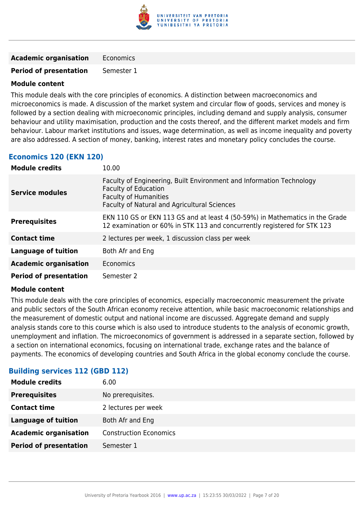

**Academic organisation** Economics

**Period of presentation** Semester 1

#### **Module content**

This module deals with the core principles of economics. A distinction between macroeconomics and microeconomics is made. A discussion of the market system and circular flow of goods, services and money is followed by a section dealing with microeconomic principles, including demand and supply analysis, consumer behaviour and utility maximisation, production and the costs thereof, and the different market models and firm behaviour. Labour market institutions and issues, wage determination, as well as income inequality and poverty are also addressed. A section of money, banking, interest rates and monetary policy concludes the course.

# **Economics 120 (EKN 120)**

| <b>Module credits</b>         | 10.00                                                                                                                                                                               |
|-------------------------------|-------------------------------------------------------------------------------------------------------------------------------------------------------------------------------------|
| <b>Service modules</b>        | Faculty of Engineering, Built Environment and Information Technology<br><b>Faculty of Education</b><br><b>Faculty of Humanities</b><br>Faculty of Natural and Agricultural Sciences |
| <b>Prerequisites</b>          | EKN 110 GS or EKN 113 GS and at least 4 (50-59%) in Mathematics in the Grade<br>12 examination or 60% in STK 113 and concurrently registered for STK 123                            |
| <b>Contact time</b>           | 2 lectures per week, 1 discussion class per week                                                                                                                                    |
| <b>Language of tuition</b>    | Both Afr and Eng                                                                                                                                                                    |
| <b>Academic organisation</b>  | Economics                                                                                                                                                                           |
| <b>Period of presentation</b> | Semester 2                                                                                                                                                                          |

#### **Module content**

This module deals with the core principles of economics, especially macroeconomic measurement the private and public sectors of the South African economy receive attention, while basic macroeconomic relationships and the measurement of domestic output and national income are discussed. Aggregate demand and supply analysis stands core to this course which is also used to introduce students to the analysis of economic growth, unemployment and inflation. The microeconomics of government is addressed in a separate section, followed by a section on international economics, focusing on international trade, exchange rates and the balance of payments. The economics of developing countries and South Africa in the global economy conclude the course.

#### **Building services 112 (GBD 112)**

| <b>Module credits</b>         | 6.00                          |
|-------------------------------|-------------------------------|
| <b>Prerequisites</b>          | No prerequisites.             |
| <b>Contact time</b>           | 2 lectures per week           |
| <b>Language of tuition</b>    | Both Afr and Eng              |
| <b>Academic organisation</b>  | <b>Construction Economics</b> |
| <b>Period of presentation</b> | Semester 1                    |
|                               |                               |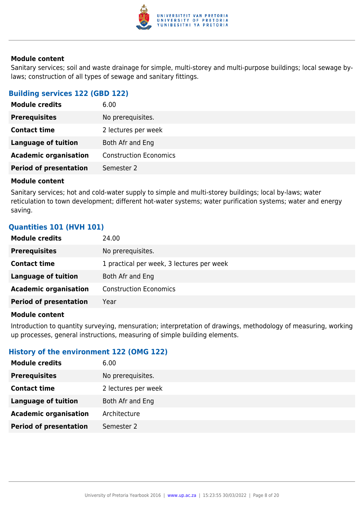

Sanitary services; soil and waste drainage for simple, multi-storey and multi-purpose buildings; local sewage bylaws; construction of all types of sewage and sanitary fittings.

#### **Building services 122 (GBD 122)**

| <b>Module credits</b>         | 6.00                          |
|-------------------------------|-------------------------------|
| <b>Prerequisites</b>          | No prerequisites.             |
| <b>Contact time</b>           | 2 lectures per week           |
| Language of tuition           | Both Afr and Eng              |
| <b>Academic organisation</b>  | <b>Construction Economics</b> |
| <b>Period of presentation</b> | Semester 2                    |
|                               |                               |

#### **Module content**

Sanitary services; hot and cold-water supply to simple and multi-storey buildings; local by-laws; water reticulation to town development; different hot-water systems; water purification systems; water and energy saving.

# **Quantities 101 (HVH 101)**

| <b>Module credits</b><br>24.00                                   |  |
|------------------------------------------------------------------|--|
| No prerequisites.<br><b>Prerequisites</b>                        |  |
| 1 practical per week, 3 lectures per week<br><b>Contact time</b> |  |
| Language of tuition<br>Both Afr and Eng                          |  |
| <b>Academic organisation</b><br><b>Construction Economics</b>    |  |
| <b>Period of presentation</b><br>Year                            |  |

#### **Module content**

Introduction to quantity surveying, mensuration; interpretation of drawings, methodology of measuring, working up processes, general instructions, measuring of simple building elements.

#### **History of the environment 122 (OMG 122)**

| <b>Module credits</b>         | 6.00                |
|-------------------------------|---------------------|
| <b>Prerequisites</b>          | No prerequisites.   |
| <b>Contact time</b>           | 2 lectures per week |
| <b>Language of tuition</b>    | Both Afr and Eng    |
| <b>Academic organisation</b>  | Architecture        |
| <b>Period of presentation</b> | Semester 2          |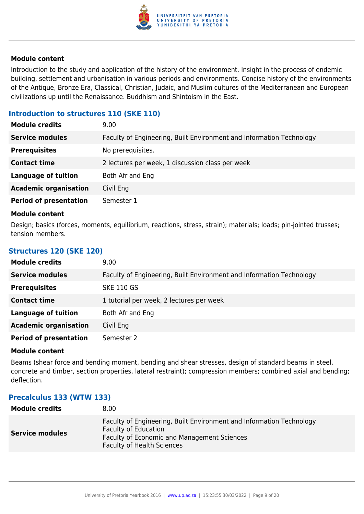

Introduction to the study and application of the history of the environment. Insight in the process of endemic building, settlement and urbanisation in various periods and environments. Concise history of the environments of the Antique, Bronze Era, Classical, Christian, Judaic, and Muslim cultures of the Mediterranean and European civilizations up until the Renaissance. Buddhism and Shintoism in the East.

### **Introduction to structures 110 (SKE 110)**

| <b>Module credits</b>         | 9.00                                                                 |
|-------------------------------|----------------------------------------------------------------------|
| <b>Service modules</b>        | Faculty of Engineering, Built Environment and Information Technology |
| <b>Prerequisites</b>          | No prerequisites.                                                    |
| <b>Contact time</b>           | 2 lectures per week, 1 discussion class per week                     |
| <b>Language of tuition</b>    | Both Afr and Eng                                                     |
| <b>Academic organisation</b>  | Civil Eng                                                            |
| <b>Period of presentation</b> | Semester 1                                                           |

#### **Module content**

Design; basics (forces, moments, equilibrium, reactions, stress, strain); materials; loads; pin-jointed trusses; tension members.

#### **Structures 120 (SKE 120)**

| <b>Module credits</b>         | 9.00                                                                 |
|-------------------------------|----------------------------------------------------------------------|
| <b>Service modules</b>        | Faculty of Engineering, Built Environment and Information Technology |
| <b>Prerequisites</b>          | <b>SKE 110 GS</b>                                                    |
| <b>Contact time</b>           | 1 tutorial per week, 2 lectures per week                             |
| <b>Language of tuition</b>    | Both Afr and Eng                                                     |
| <b>Academic organisation</b>  | Civil Eng                                                            |
| <b>Period of presentation</b> | Semester 2                                                           |

#### **Module content**

Beams (shear force and bending moment, bending and shear stresses, design of standard beams in steel, concrete and timber, section properties, lateral restraint); compression members; combined axial and bending; deflection.

#### **Precalculus 133 (WTW 133)**

| <b>Module credits</b>  | 8.00                                                                                                                                                                                    |
|------------------------|-----------------------------------------------------------------------------------------------------------------------------------------------------------------------------------------|
| <b>Service modules</b> | Faculty of Engineering, Built Environment and Information Technology<br><b>Faculty of Education</b><br>Faculty of Economic and Management Sciences<br><b>Faculty of Health Sciences</b> |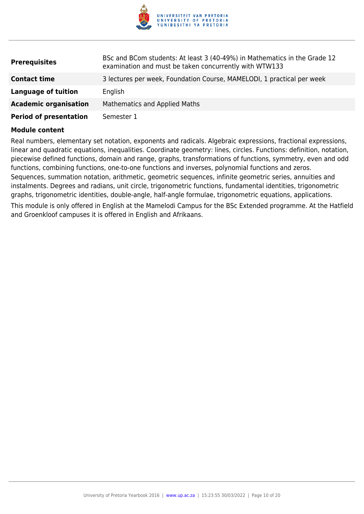

| <b>Prerequisites</b>          | BSc and BCom students: At least 3 (40-49%) in Mathematics in the Grade 12<br>examination and must be taken concurrently with WTW133 |
|-------------------------------|-------------------------------------------------------------------------------------------------------------------------------------|
| <b>Contact time</b>           | 3 lectures per week, Foundation Course, MAMELODI, 1 practical per week                                                              |
| Language of tuition           | English                                                                                                                             |
| <b>Academic organisation</b>  | <b>Mathematics and Applied Maths</b>                                                                                                |
| <b>Period of presentation</b> | Semester 1                                                                                                                          |

Real numbers, elementary set notation, exponents and radicals. Algebraic expressions, fractional expressions, linear and quadratic equations, inequalities. Coordinate geometry: lines, circles. Functions: definition, notation, piecewise defined functions, domain and range, graphs, transformations of functions, symmetry, even and odd functions, combining functions, one-to-one functions and inverses, polynomial functions and zeros. Sequences, summation notation, arithmetic, geometric sequences, infinite geometric series, annuities and instalments. Degrees and radians, unit circle, trigonometric functions, fundamental identities, trigonometric graphs, trigonometric identities, double-angle, half-angle formulae, trigonometric equations, applications.

This module is only offered in English at the Mamelodi Campus for the BSc Extended programme. At the Hatfield and Groenkloof campuses it is offered in English and Afrikaans.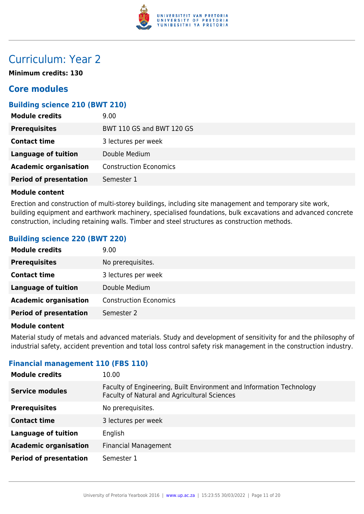

# Curriculum: Year 2

**Minimum credits: 130**

# **Core modules**

### **Building science 210 (BWT 210)**

| <b>Module credits</b>         | 9.00                          |
|-------------------------------|-------------------------------|
| <b>Prerequisites</b>          | BWT 110 GS and BWT 120 GS     |
| <b>Contact time</b>           | 3 lectures per week           |
| <b>Language of tuition</b>    | Double Medium                 |
| <b>Academic organisation</b>  | <b>Construction Economics</b> |
| <b>Period of presentation</b> | Semester 1                    |

#### **Module content**

Erection and construction of multi-storey buildings, including site management and temporary site work, building equipment and earthwork machinery, specialised foundations, bulk excavations and advanced concrete construction, including retaining walls. Timber and steel structures as construction methods.

#### **Building science 220 (BWT 220)**

| <b>Module credits</b>         | 9.00                          |
|-------------------------------|-------------------------------|
| <b>Prerequisites</b>          | No prerequisites.             |
| <b>Contact time</b>           | 3 lectures per week           |
| <b>Language of tuition</b>    | Double Medium                 |
| <b>Academic organisation</b>  | <b>Construction Economics</b> |
| <b>Period of presentation</b> | Semester 2                    |

#### **Module content**

Material study of metals and advanced materials. Study and development of sensitivity for and the philosophy of industrial safety, accident prevention and total loss control safety risk management in the construction industry.

#### **Financial management 110 (FBS 110)**

| <b>Module credits</b>         | 10.00                                                                                                                |
|-------------------------------|----------------------------------------------------------------------------------------------------------------------|
| <b>Service modules</b>        | Faculty of Engineering, Built Environment and Information Technology<br>Faculty of Natural and Agricultural Sciences |
| <b>Prerequisites</b>          | No prerequisites.                                                                                                    |
| <b>Contact time</b>           | 3 lectures per week                                                                                                  |
| <b>Language of tuition</b>    | English                                                                                                              |
| <b>Academic organisation</b>  | <b>Financial Management</b>                                                                                          |
| <b>Period of presentation</b> | Semester 1                                                                                                           |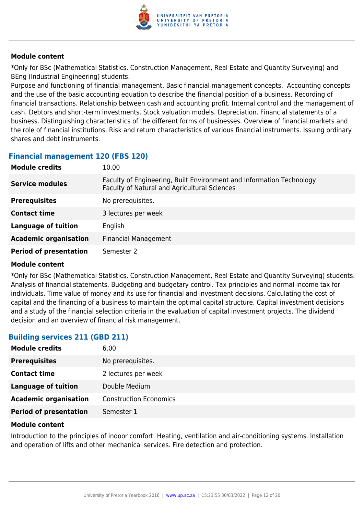

\*Only for BSc (Mathematical Statistics. Construction Management, Real Estate and Quantity Surveying) and BEng (Industrial Engineering) students.

Purpose and functioning of financial management. Basic financial management concepts. Accounting concepts and the use of the basic accounting equation to describe the financial position of a business. Recording of financial transactions. Relationship between cash and accounting profit. Internal control and the management of cash. Debtors and short-term investments. Stock valuation models. Depreciation. Financial statements of a business. Distinguishing characteristics of the different forms of businesses. Overview of financial markets and the role of financial institutions. Risk and return characteristics of various financial instruments. Issuing ordinary shares and debt instruments.

# **Financial management 120 (FBS 120)**

| <b>Module credits</b>         | 10.00                                                                                                                |
|-------------------------------|----------------------------------------------------------------------------------------------------------------------|
| <b>Service modules</b>        | Faculty of Engineering, Built Environment and Information Technology<br>Faculty of Natural and Agricultural Sciences |
| <b>Prerequisites</b>          | No prerequisites.                                                                                                    |
| <b>Contact time</b>           | 3 lectures per week                                                                                                  |
| <b>Language of tuition</b>    | English                                                                                                              |
| <b>Academic organisation</b>  | <b>Financial Management</b>                                                                                          |
| <b>Period of presentation</b> | Semester 2                                                                                                           |

#### **Module content**

\*Only for BSc (Mathematical Statistics, Construction Management, Real Estate and Quantity Surveying) students. Analysis of financial statements. Budgeting and budgetary control. Tax principles and normal income tax for individuals. Time value of money and its use for financial and investment decisions. Calculating the cost of capital and the financing of a business to maintain the optimal capital structure. Capital investment decisions and a study of the financial selection criteria in the evaluation of capital investment projects. The dividend decision and an overview of financial risk management.

# **Building services 211 (GBD 211)**

| <b>Module credits</b>         | 6.00                          |
|-------------------------------|-------------------------------|
| <b>Prerequisites</b>          | No prerequisites.             |
| <b>Contact time</b>           | 2 lectures per week           |
| Language of tuition           | Double Medium                 |
| <b>Academic organisation</b>  | <b>Construction Economics</b> |
| <b>Period of presentation</b> | Semester 1                    |

#### **Module content**

Introduction to the principles of indoor comfort. Heating, ventilation and air-conditioning systems. Installation and operation of lifts and other mechanical services. Fire detection and protection.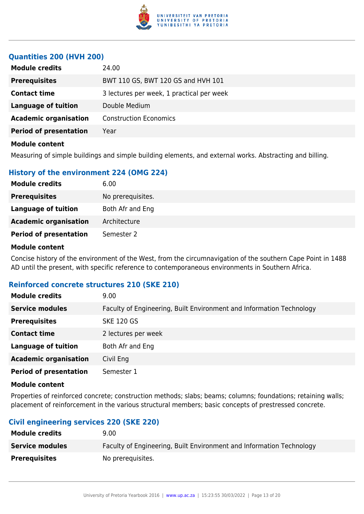

### **Quantities 200 (HVH 200)**

| <b>Module credits</b>         | 24.00                                     |
|-------------------------------|-------------------------------------------|
| <b>Prerequisites</b>          | BWT 110 GS, BWT 120 GS and HVH 101        |
| <b>Contact time</b>           | 3 lectures per week, 1 practical per week |
| <b>Language of tuition</b>    | Double Medium                             |
| <b>Academic organisation</b>  | <b>Construction Economics</b>             |
| <b>Period of presentation</b> | Year                                      |
| <b>Module content</b>         |                                           |

Measuring of simple buildings and simple building elements, and external works. Abstracting and billing.

# **History of the environment 224 (OMG 224)**

| 6.00              |
|-------------------|
| No prerequisites. |
| Both Afr and Eng  |
| Architecture      |
| Semester 2        |
|                   |

#### **Module content**

Concise history of the environment of the West, from the circumnavigation of the southern Cape Point in 1488 AD until the present, with specific reference to contemporaneous environments in Southern Africa.

#### **Reinforced concrete structures 210 (SKE 210)**

| <b>Module credits</b>         | 9.00                                                                 |
|-------------------------------|----------------------------------------------------------------------|
| <b>Service modules</b>        | Faculty of Engineering, Built Environment and Information Technology |
| <b>Prerequisites</b>          | <b>SKE 120 GS</b>                                                    |
| <b>Contact time</b>           | 2 lectures per week                                                  |
| <b>Language of tuition</b>    | Both Afr and Eng                                                     |
| <b>Academic organisation</b>  | Civil Eng                                                            |
| <b>Period of presentation</b> | Semester 1                                                           |

#### **Module content**

Properties of reinforced concrete; construction methods; slabs; beams; columns; foundations; retaining walls; placement of reinforcement in the various structural members; basic concepts of prestressed concrete.

#### **Civil engineering services 220 (SKE 220)**

| <b>Module credits</b>  | 9.00                                                                 |
|------------------------|----------------------------------------------------------------------|
| <b>Service modules</b> | Faculty of Engineering, Built Environment and Information Technology |
| <b>Prerequisites</b>   | No prerequisites.                                                    |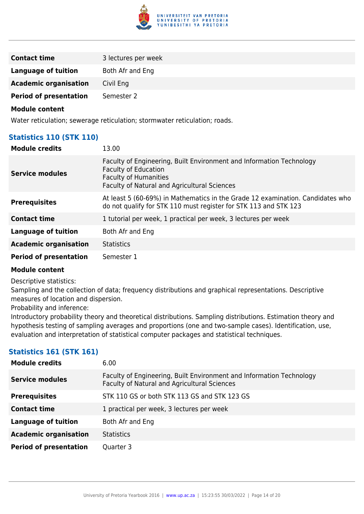

| <b>Contact time</b>           | 3 lectures per week |
|-------------------------------|---------------------|
| <b>Language of tuition</b>    | Both Afr and Eng    |
| <b>Academic organisation</b>  | Civil Eng           |
| <b>Period of presentation</b> | Semester 2          |

Water reticulation; sewerage reticulation; stormwater reticulation; roads.

# **Statistics 110 (STK 110)**

| <b>Module credits</b>         | 13.00                                                                                                                                                                                      |
|-------------------------------|--------------------------------------------------------------------------------------------------------------------------------------------------------------------------------------------|
| <b>Service modules</b>        | Faculty of Engineering, Built Environment and Information Technology<br><b>Faculty of Education</b><br><b>Faculty of Humanities</b><br><b>Faculty of Natural and Agricultural Sciences</b> |
| <b>Prerequisites</b>          | At least 5 (60-69%) in Mathematics in the Grade 12 examination. Candidates who<br>do not qualify for STK 110 must register for STK 113 and STK 123                                         |
| <b>Contact time</b>           | 1 tutorial per week, 1 practical per week, 3 lectures per week                                                                                                                             |
| <b>Language of tuition</b>    | Both Afr and Eng                                                                                                                                                                           |
| <b>Academic organisation</b>  | <b>Statistics</b>                                                                                                                                                                          |
| <b>Period of presentation</b> | Semester 1                                                                                                                                                                                 |

#### **Module content**

Descriptive statistics:

Sampling and the collection of data; frequency distributions and graphical representations. Descriptive measures of location and dispersion.

Probability and inference:

Introductory probability theory and theoretical distributions. Sampling distributions. Estimation theory and hypothesis testing of sampling averages and proportions (one and two-sample cases). Identification, use, evaluation and interpretation of statistical computer packages and statistical techniques.

# **Statistics 161 (STK 161)**

| <b>Module credits</b>         | 6.00                                                                                                                 |
|-------------------------------|----------------------------------------------------------------------------------------------------------------------|
| <b>Service modules</b>        | Faculty of Engineering, Built Environment and Information Technology<br>Faculty of Natural and Agricultural Sciences |
| <b>Prerequisites</b>          | STK 110 GS or both STK 113 GS and STK 123 GS                                                                         |
| <b>Contact time</b>           | 1 practical per week, 3 lectures per week                                                                            |
| <b>Language of tuition</b>    | Both Afr and Eng                                                                                                     |
| <b>Academic organisation</b>  | <b>Statistics</b>                                                                                                    |
| <b>Period of presentation</b> | Quarter 3                                                                                                            |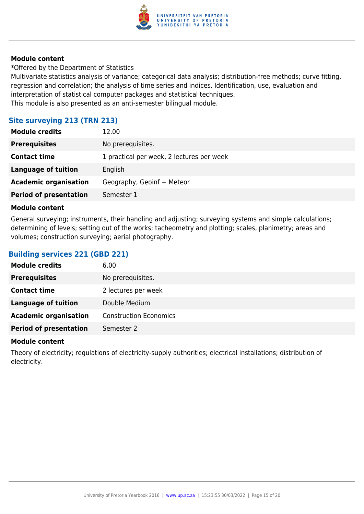

\*Offered by the Department of Statistics

Multivariate statistics analysis of variance; categorical data analysis; distribution-free methods; curve fitting, regression and correlation; the analysis of time series and indices. Identification, use, evaluation and interpretation of statistical computer packages and statistical techniques. This module is also presented as an anti-semester bilingual module.

# **Site surveying 213 (TRN 213)**

| <b>Module credits</b>         | 12.00                                     |
|-------------------------------|-------------------------------------------|
| <b>Prerequisites</b>          | No prerequisites.                         |
| <b>Contact time</b>           | 1 practical per week, 2 lectures per week |
| Language of tuition           | English                                   |
| <b>Academic organisation</b>  | Geography, Geoinf + Meteor                |
| <b>Period of presentation</b> | Semester 1                                |

#### **Module content**

General surveying; instruments, their handling and adjusting; surveying systems and simple calculations; determining of levels; setting out of the works; tacheometry and plotting; scales, planimetry; areas and volumes; construction surveying; aerial photography.

# **Building services 221 (GBD 221)**

| <b>Module credits</b>         | 6.00                          |
|-------------------------------|-------------------------------|
| <b>Prerequisites</b>          | No prerequisites.             |
| <b>Contact time</b>           | 2 lectures per week           |
| <b>Language of tuition</b>    | Double Medium                 |
| <b>Academic organisation</b>  | <b>Construction Economics</b> |
| <b>Period of presentation</b> | Semester 2                    |

#### **Module content**

Theory of electricity; regulations of electricity-supply authorities; electrical installations; distribution of electricity.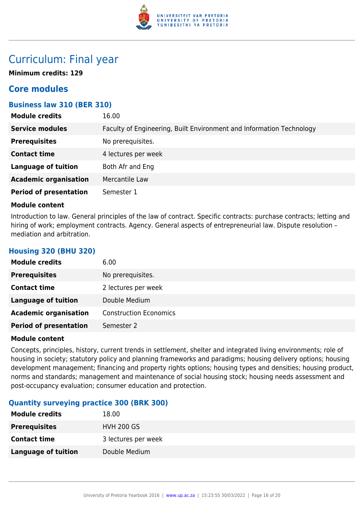

# Curriculum: Final year

**Minimum credits: 129**

# **Core modules**

# **Business law 310 (BER 310)**

| <b>Module credits</b>         | 16.00                                                                |
|-------------------------------|----------------------------------------------------------------------|
| <b>Service modules</b>        | Faculty of Engineering, Built Environment and Information Technology |
| <b>Prerequisites</b>          | No prerequisites.                                                    |
| <b>Contact time</b>           | 4 lectures per week                                                  |
| <b>Language of tuition</b>    | Both Afr and Eng                                                     |
| <b>Academic organisation</b>  | Mercantile Law                                                       |
| <b>Period of presentation</b> | Semester 1                                                           |

#### **Module content**

**Housing 320 (BHU 320)**

Introduction to law. General principles of the law of contract. Specific contracts: purchase contracts; letting and hiring of work; employment contracts. Agency. General aspects of entrepreneurial law. Dispute resolution mediation and arbitration.

| <b>Module credits</b>         | 6.00                          |
|-------------------------------|-------------------------------|
| <b>Prerequisites</b>          | No prerequisites.             |
| <b>Contact time</b>           | 2 lectures per week           |
| <b>Language of tuition</b>    | Double Medium                 |
| <b>Academic organisation</b>  | <b>Construction Economics</b> |
| <b>Period of presentation</b> | Semester 2                    |

#### **Module content**

Concepts, principles, history, current trends in settlement, shelter and integrated living environments; role of housing in society; statutory policy and planning frameworks and paradigms; housing delivery options; housing development management; financing and property rights options; housing types and densities; housing product, norms and standards; management and maintenance of social housing stock; housing needs assessment and post-occupancy evaluation; consumer education and protection.

# **Quantity surveying practice 300 (BRK 300)**

| <b>Module credits</b>      | 18.00               |
|----------------------------|---------------------|
| <b>Prerequisites</b>       | <b>HVH 200 GS</b>   |
| <b>Contact time</b>        | 3 lectures per week |
| <b>Language of tuition</b> | Double Medium       |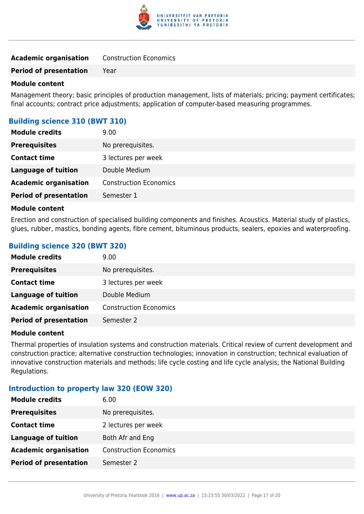

| <b>Academic organisation</b> | <b>Construction Economics</b> |
|------------------------------|-------------------------------|
|------------------------------|-------------------------------|

**Period of presentation** Year

#### **Module content**

Management theory; basic principles of production management, lists of materials; pricing; payment certificates; final accounts; contract price adjustments; application of computer-based measuring programmes.

### **Building science 310 (BWT 310)**

| <b>Module credits</b>         | 9.00                          |
|-------------------------------|-------------------------------|
| <b>Prerequisites</b>          | No prerequisites.             |
| <b>Contact time</b>           | 3 lectures per week           |
| Language of tuition           | Double Medium                 |
| <b>Academic organisation</b>  | <b>Construction Economics</b> |
| <b>Period of presentation</b> | Semester 1                    |

#### **Module content**

Erection and construction of specialised building components and finishes. Acoustics. Material study of plastics, glues, rubber, mastics, bonding agents, fibre cement, bituminous products, sealers, epoxies and waterproofing.

| <b>Building science 320 (BWT 320)</b> |  |  |  |
|---------------------------------------|--|--|--|
|---------------------------------------|--|--|--|

| <b>Module credits</b>         | 9.00                          |
|-------------------------------|-------------------------------|
| <b>Prerequisites</b>          | No prerequisites.             |
| <b>Contact time</b>           | 3 lectures per week           |
| Language of tuition           | Double Medium                 |
| <b>Academic organisation</b>  | <b>Construction Economics</b> |
| <b>Period of presentation</b> | Semester 2                    |

#### **Module content**

Thermal properties of insulation systems and construction materials. Critical review of current development and construction practice; alternative construction technologies; innovation in construction; technical evaluation of innovative construction materials and methods; life cycle costing and life cycle analysis; the National Building Regulations.

#### **Introduction to property law 320 (EOW 320)**

| <b>Module credits</b>         | 6.00                          |
|-------------------------------|-------------------------------|
| <b>Prerequisites</b>          | No prerequisites.             |
| <b>Contact time</b>           | 2 lectures per week           |
| <b>Language of tuition</b>    | Both Afr and Eng              |
| <b>Academic organisation</b>  | <b>Construction Economics</b> |
| <b>Period of presentation</b> | Semester 2                    |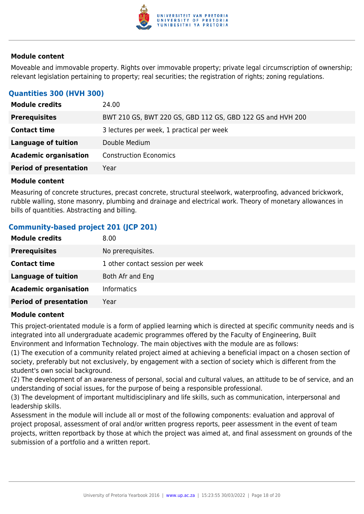

Moveable and immovable property. Rights over immovable property; private legal circumscription of ownership; relevant legislation pertaining to property; real securities; the registration of rights; zoning regulations.

# **Quantities 300 (HVH 300)**

| <b>Module credits</b>         | 24.00                                                      |
|-------------------------------|------------------------------------------------------------|
| <b>Prerequisites</b>          | BWT 210 GS, BWT 220 GS, GBD 112 GS, GBD 122 GS and HVH 200 |
| <b>Contact time</b>           | 3 lectures per week, 1 practical per week                  |
| Language of tuition           | Double Medium                                              |
| <b>Academic organisation</b>  | <b>Construction Economics</b>                              |
| <b>Period of presentation</b> | Year                                                       |

#### **Module content**

Measuring of concrete structures, precast concrete, structural steelwork, waterproofing, advanced brickwork, rubble walling, stone masonry, plumbing and drainage and electrical work. Theory of monetary allowances in bills of quantities. Abstracting and billing.

# **Community-based project 201 (JCP 201)**

| <b>Module credits</b>         | 8.00                             |
|-------------------------------|----------------------------------|
| <b>Prerequisites</b>          | No prerequisites.                |
| <b>Contact time</b>           | 1 other contact session per week |
| <b>Language of tuition</b>    | Both Afr and Eng                 |
| <b>Academic organisation</b>  | <b>Informatics</b>               |
| <b>Period of presentation</b> | Year                             |

#### **Module content**

This project-orientated module is a form of applied learning which is directed at specific community needs and is integrated into all undergraduate academic programmes offered by the Faculty of Engineering, Built Environment and Information Technology. The main objectives with the module are as follows:

(1) The execution of a community related project aimed at achieving a beneficial impact on a chosen section of society, preferably but not exclusively, by engagement with a section of society which is different from the student's own social background.

(2) The development of an awareness of personal, social and cultural values, an attitude to be of service, and an understanding of social issues, for the purpose of being a responsible professional.

(3) The development of important multidisciplinary and life skills, such as communication, interpersonal and leadership skills.

Assessment in the module will include all or most of the following components: evaluation and approval of project proposal, assessment of oral and/or written progress reports, peer assessment in the event of team projects, written reportback by those at which the project was aimed at, and final assessment on grounds of the submission of a portfolio and a written report.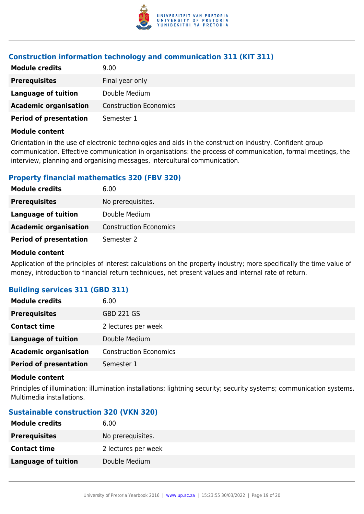

# **Construction information technology and communication 311 (KIT 311)**

| <b>Module credits</b>         | 9.00                          |
|-------------------------------|-------------------------------|
| <b>Prerequisites</b>          | Final year only               |
| Language of tuition           | Double Medium                 |
| <b>Academic organisation</b>  | <b>Construction Economics</b> |
| <b>Period of presentation</b> | Semester 1                    |

#### **Module content**

Orientation in the use of electronic technologies and aids in the construction industry. Confident group communication. Effective communication in organisations: the process of communication, formal meetings, the interview, planning and organising messages, intercultural communication.

# **Property financial mathematics 320 (FBV 320)**

| <b>Module credits</b>         | 6.00                          |
|-------------------------------|-------------------------------|
| <b>Prerequisites</b>          | No prerequisites.             |
| Language of tuition           | Double Medium                 |
| <b>Academic organisation</b>  | <b>Construction Economics</b> |
| <b>Period of presentation</b> | Semester 2                    |

#### **Module content**

Application of the principles of interest calculations on the property industry; more specifically the time value of money, introduction to financial return techniques, net present values and internal rate of return.

# **Building services 311 (GBD 311)**

| <b>Module credits</b>         | 6.00                          |
|-------------------------------|-------------------------------|
| <b>Prerequisites</b>          | <b>GBD 221 GS</b>             |
| <b>Contact time</b>           | 2 lectures per week           |
| <b>Language of tuition</b>    | Double Medium                 |
| <b>Academic organisation</b>  | <b>Construction Economics</b> |
| <b>Period of presentation</b> | Semester 1                    |

#### **Module content**

Principles of illumination; illumination installations; lightning security; security systems; communication systems. Multimedia installations.

#### **Sustainable construction 320 (VKN 320)**

| <b>Module credits</b>      | 6.00                |
|----------------------------|---------------------|
| <b>Prerequisites</b>       | No prerequisites.   |
| <b>Contact time</b>        | 2 lectures per week |
| <b>Language of tuition</b> | Double Medium       |